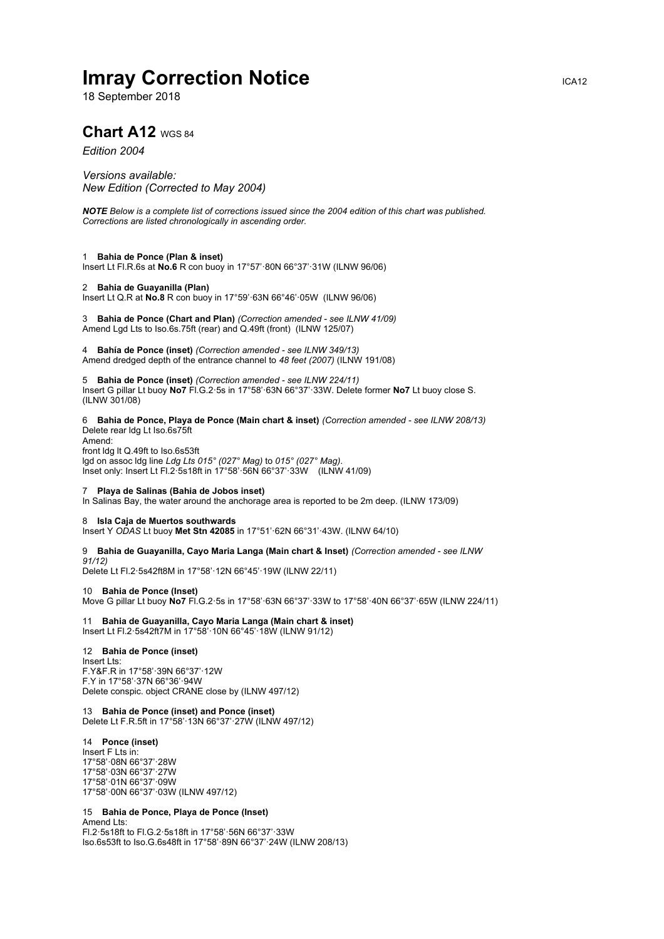# **Imray Correction Notice Internal According Correction Notice Internal According CA12**

18 September 2018

# **Chart A12 WGS 84**

# *Edition 2004*

*Versions available: New Edition (Corrected to May 2004)*

*NOTE Below is a complete list of corrections issued since the 2004 edition of this chart was published. Corrections are listed chronologically in ascending order.*

#### 1 **Bahia de Ponce (Plan & inset)**

Insert Lt Fl.R.6s at **No.6** R con buoy in 17°57'·80N 66°37'·31W (ILNW 96/06)

## 2 **Bahia de Guayanilla (Plan)**

Insert Lt Q.R at **No.8** R con buoy in 17°59'·63N 66°46'·05W (ILNW 96/06)

3 **Bahia de Ponce (Chart and Plan)** *(Correction amended - see ILNW 41/09)* Amend Lgd Lts to Iso.6s.75ft (rear) and Q.49ft (front) (ILNW 125/07)

4 **Bahía de Ponce (inset)** *(Correction amended - see ILNW 349/13)* Amend dredged depth of the entrance channel to *48 feet (2007)* (ILNW 191/08)

5 **Bahia de Ponce (inset)** *(Correction amended - see ILNW 224/11)* Insert G pillar Lt buoy **No7** Fl.G.2·5s in 17°58'·63N 66°37'·33W. Delete former **No7** Lt buoy close S. (ILNW 301/08)

6 **Bahia de Ponce, Playa de Ponce (Main chart & inset)** *(Correction amended - see ILNW 208/13)* Delete rear ldg Lt Iso.6s75ft Amend: front ldg lt Q.49ft to Iso.6s53ft lgd on assoc ldg line *Ldg Lts 015° (027° Mag)* to *015° (027° Mag)*.

Inset only: Insert Lt Fl.2·5s18ft in 17°58'·56N 66°37'·33W (ILNW 41/09)

#### 7 **Playa de Salinas (Bahia de Jobos inset)**

In Salinas Bay, the water around the anchorage area is reported to be 2m deep. (ILNW 173/09)

#### 8 **Isla Caja de Muertos southwards**

Insert Y *ODAS* Lt buoy **Met Stn 42085** in 17°51'·62N 66°31'·43W. (ILNW 64/10)

9 **Bahia de Guayanilla, Cayo Maria Langa (Main chart & Inset)** *(Correction amended - see ILNW 91/12)*

Delete Lt Fl.2·5s42ft8M in 17°58'·12N 66°45'·19W (ILNW 22/11)

10 **Bahia de Ponce (Inset)** Move G pillar Lt buoy **No7** Fl.G.2·5s in 17°58'·63N 66°37'·33W to 17°58'·40N 66°37'·65W (ILNW 224/11)

11 **Bahia de Guayanilla, Cayo Maria Langa (Main chart & inset)** Insert Lt Fl.2·5s42ft7M in 17°58'·10N 66°45'·18W (ILNW 91/12)

## 12 **Bahia de Ponce (inset)**

Insert Lts: F.Y&F.R in 17°58'·39N 66°37'·12W F.Y in 17°58'·37N 66°36'·94W Delete conspic. object CRANE close by (ILNW 497/12)

#### 13 **Bahia de Ponce (inset) and Ponce (inset)** Delete Lt F.R.5ft in 17°58'·13N 66°37'·27W (ILNW 497/12)

14 **Ponce (inset)** Insert F Lts in: 17°58'·08N 66°37'·28W 17°58'·03N 66°37'·27W 17°58'·01N 66°37'·09W 17°58'·00N 66°37'·03W (ILNW 497/12)

# 15 **Bahia de Ponce, Playa de Ponce (Inset)**

Amend Lts: Fl.2·5s18ft to Fl.G.2·5s18ft in 17°58'·56N 66°37'·33W Iso.6s53ft to Iso.G.6s48ft in 17°58'·89N 66°37'·24W (ILNW 208/13)